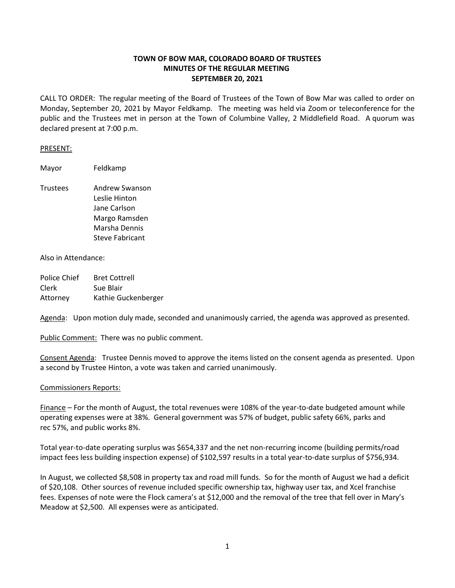## **TOWN OF BOW MAR, COLORADO BOARD OF TRUSTEES MINUTES OF THE REGULAR MEETING SEPTEMBER 20, 2021**

CALL TO ORDER: The regular meeting of the Board of Trustees of the Town of Bow Mar was called to order on Monday, September 20, 2021 by Mayor Feldkamp. The meeting was held via Zoom or teleconference for the public and the Trustees met in person at the Town of Columbine Valley, 2 Middlefield Road. A quorum was declared present at 7:00 p.m.

## PRESENT:

Mayor Feldkamp

Trustees Andrew Swanson Leslie Hinton Jane Carlson Margo Ramsden Marsha Dennis Steve Fabricant

## Also in Attendance:

| Police Chief | <b>Bret Cottrell</b> |
|--------------|----------------------|
| Clerk        | Sue Blair            |
| Attorney     | Kathie Guckenberger  |

Agenda: Upon motion duly made, seconded and unanimously carried, the agenda was approved as presented.

Public Comment: There was no public comment.

Consent Agenda: Trustee Dennis moved to approve the items listed on the consent agenda as presented. Upon a second by Trustee Hinton, a vote was taken and carried unanimously.

## Commissioners Reports:

Finance – For the month of August, the total revenues were 108% of the year-to-date budgeted amount while operating expenses were at 38%. General government was 57% of budget, public safety 66%, parks and rec 57%, and public works 8%.

Total year-to-date operating surplus was \$654,337 and the net non-recurring income (building permits/road impact fees less building inspection expense) of \$102,597 results in a total year-to-date surplus of \$756,934.

In August, we collected \$8,508 in property tax and road mill funds. So for the month of August we had a deficit of \$20,108. Other sources of revenue included specific ownership tax, highway user tax, and Xcel franchise fees. Expenses of note were the Flock camera's at \$12,000 and the removal of the tree that fell over in Mary's Meadow at \$2,500. All expenses were as anticipated.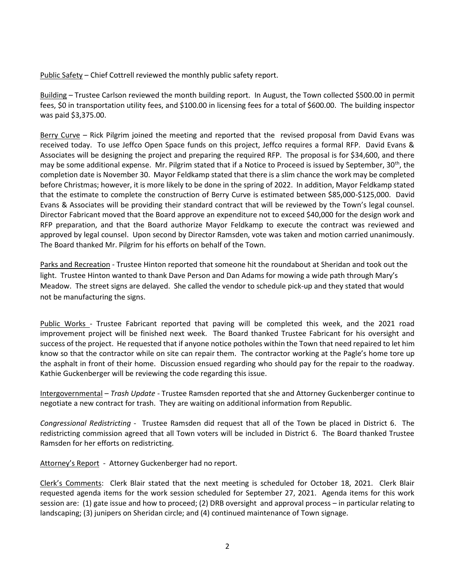Public Safety - Chief Cottrell reviewed the monthly public safety report.

Building – Trustee Carlson reviewed the month building report. In August, the Town collected \$500.00 in permit fees, \$0 in transportation utility fees, and \$100.00 in licensing fees for a total of \$600.00. The building inspector was paid \$3,375.00.

Berry Curve – Rick Pilgrim joined the meeting and reported that the revised proposal from David Evans was received today. To use Jeffco Open Space funds on this project, Jeffco requires a formal RFP. David Evans & Associates will be designing the project and preparing the required RFP. The proposal is for \$34,600, and there may be some additional expense. Mr. Pilgrim stated that if a Notice to Proceed is issued by September, 30<sup>th</sup>, the completion date is November 30. Mayor Feldkamp stated that there is a slim chance the work may be completed before Christmas; however, it is more likely to be done in the spring of 2022. In addition, Mayor Feldkamp stated that the estimate to complete the construction of Berry Curve is estimated between \$85,000-\$125,000. David Evans & Associates will be providing their standard contract that will be reviewed by the Town's legal counsel. Director Fabricant moved that the Board approve an expenditure not to exceed \$40,000 for the design work and RFP preparation, and that the Board authorize Mayor Feldkamp to execute the contract was reviewed and approved by legal counsel. Upon second by Director Ramsden, vote was taken and motion carried unanimously. The Board thanked Mr. Pilgrim for his efforts on behalf of the Town.

Parks and Recreation - Trustee Hinton reported that someone hit the roundabout at Sheridan and took out the light. Trustee Hinton wanted to thank Dave Person and Dan Adams for mowing a wide path through Mary's Meadow. The street signs are delayed. She called the vendor to schedule pick-up and they stated that would not be manufacturing the signs.

Public Works - Trustee Fabricant reported that paving will be completed this week, and the 2021 road improvement project will be finished next week. The Board thanked Trustee Fabricant for his oversight and success of the project. He requested that if anyone notice potholes within the Town that need repaired to let him know so that the contractor while on site can repair them. The contractor working at the Pagle's home tore up the asphalt in front of their home. Discussion ensued regarding who should pay for the repair to the roadway. Kathie Guckenberger will be reviewing the code regarding this issue.

Intergovernmental – *Trash Update* - Trustee Ramsden reported that she and Attorney Guckenberger continue to negotiate a new contract for trash. They are waiting on additional information from Republic.

*Congressional Redistricting* - Trustee Ramsden did request that all of the Town be placed in District 6. The redistricting commission agreed that all Town voters will be included in District 6. The Board thanked Trustee Ramsden for her efforts on redistricting.

Attorney's Report - Attorney Guckenberger had no report.

Clerk's Comments: Clerk Blair stated that the next meeting is scheduled for October 18, 2021. Clerk Blair requested agenda items for the work session scheduled for September 27, 2021. Agenda items for this work session are: (1) gate issue and how to proceed; (2) DRB oversight and approval process – in particular relating to landscaping; (3) junipers on Sheridan circle; and (4) continued maintenance of Town signage.